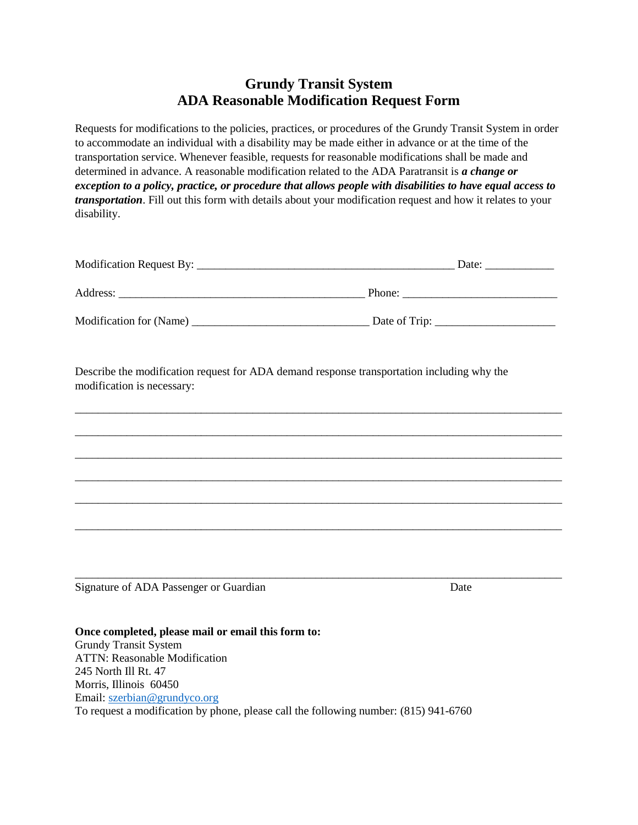## **Grundy Transit System ADA Reasonable Modification Request Form**

Requests for modifications to the policies, practices, or procedures of the Grundy Transit System in order to accommodate an individual with a disability may be made either in advance or at the time of the transportation service. Whenever feasible, requests for reasonable modifications shall be made and determined in advance. A reasonable modification related to the ADA Paratransit is *a change or exception to a policy, practice, or procedure that allows people with disabilities to have equal access to transportation*. Fill out this form with details about your modification request and how it relates to your disability.

|                         | Date:         |
|-------------------------|---------------|
| Address:                | Phone:        |
| Modification for (Name) | Date of Trip: |

\_\_\_\_\_\_\_\_\_\_\_\_\_\_\_\_\_\_\_\_\_\_\_\_\_\_\_\_\_\_\_\_\_\_\_\_\_\_\_\_\_\_\_\_\_\_\_\_\_\_\_\_\_\_\_\_\_\_\_\_\_\_\_\_\_\_\_\_\_\_\_\_\_\_\_\_\_\_\_\_\_\_\_\_\_

\_\_\_\_\_\_\_\_\_\_\_\_\_\_\_\_\_\_\_\_\_\_\_\_\_\_\_\_\_\_\_\_\_\_\_\_\_\_\_\_\_\_\_\_\_\_\_\_\_\_\_\_\_\_\_\_\_\_\_\_\_\_\_\_\_\_\_\_\_\_\_\_\_\_\_\_\_\_\_\_\_\_\_\_\_

\_\_\_\_\_\_\_\_\_\_\_\_\_\_\_\_\_\_\_\_\_\_\_\_\_\_\_\_\_\_\_\_\_\_\_\_\_\_\_\_\_\_\_\_\_\_\_\_\_\_\_\_\_\_\_\_\_\_\_\_\_\_\_\_\_\_\_\_\_\_\_\_\_\_\_\_\_\_\_\_\_\_\_\_\_

\_\_\_\_\_\_\_\_\_\_\_\_\_\_\_\_\_\_\_\_\_\_\_\_\_\_\_\_\_\_\_\_\_\_\_\_\_\_\_\_\_\_\_\_\_\_\_\_\_\_\_\_\_\_\_\_\_\_\_\_\_\_\_\_\_\_\_\_\_\_\_\_\_\_\_\_\_\_\_\_\_\_\_\_\_

\_\_\_\_\_\_\_\_\_\_\_\_\_\_\_\_\_\_\_\_\_\_\_\_\_\_\_\_\_\_\_\_\_\_\_\_\_\_\_\_\_\_\_\_\_\_\_\_\_\_\_\_\_\_\_\_\_\_\_\_\_\_\_\_\_\_\_\_\_\_\_\_\_\_\_\_\_\_\_\_\_\_\_\_\_

\_\_\_\_\_\_\_\_\_\_\_\_\_\_\_\_\_\_\_\_\_\_\_\_\_\_\_\_\_\_\_\_\_\_\_\_\_\_\_\_\_\_\_\_\_\_\_\_\_\_\_\_\_\_\_\_\_\_\_\_\_\_\_\_\_\_\_\_\_\_\_\_\_\_\_\_\_\_\_\_\_\_\_\_\_

\_\_\_\_\_\_\_\_\_\_\_\_\_\_\_\_\_\_\_\_\_\_\_\_\_\_\_\_\_\_\_\_\_\_\_\_\_\_\_\_\_\_\_\_\_\_\_\_\_\_\_\_\_\_\_\_\_\_\_\_\_\_\_\_\_\_\_\_\_\_\_\_\_\_\_\_\_\_\_\_\_\_\_\_\_

Describe the modification request for ADA demand response transportation including why the modification is necessary:

Signature of ADA Passenger or Guardian Date Date

**Once completed, please mail or email this form to:**  Grundy Transit System ATTN: Reasonable Modification 245 North Ill Rt. 47 Morris, Illinois 60450 Email: [szerbian@grundyco.org](mailto:szerbian@grundyco.org) To request a modification by phone, please call the following number: (815) 941-6760